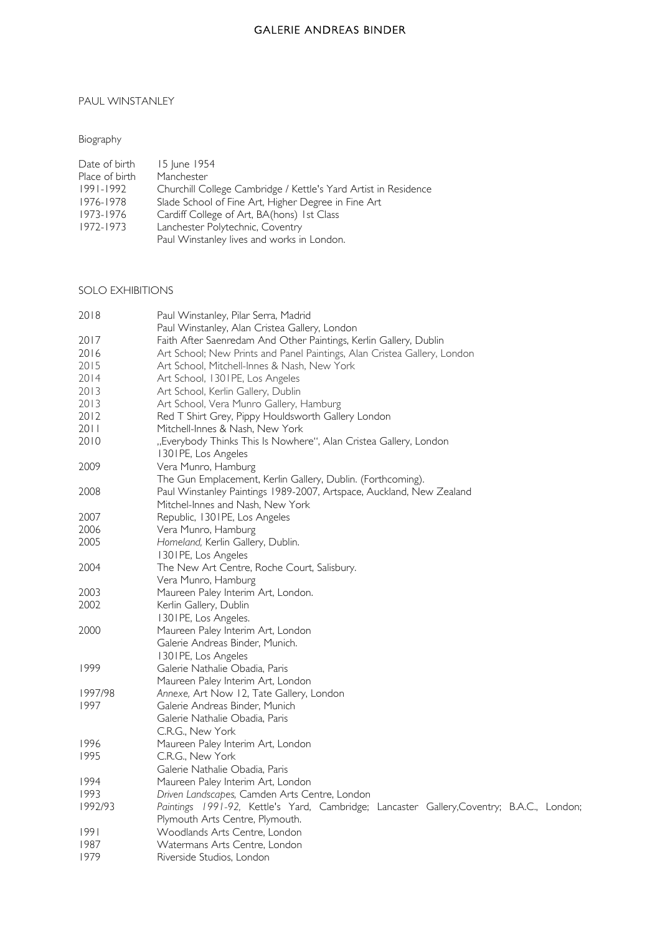### PAUL WINSTANLEY

### Biography

| Date of birth  | 15 June 1954                                                    |
|----------------|-----------------------------------------------------------------|
| Place of birth | Manchester                                                      |
| 1991-1992      | Churchill College Cambridge / Kettle's Yard Artist in Residence |
| 1976-1978      | Slade School of Fine Art, Higher Degree in Fine Art             |
| 1973-1976      | Cardiff College of Art, BA(hons) 1st Class                      |
| 1972-1973      | Lanchester Polytechnic, Coventry                                |
|                | Paul Winstanley lives and works in London.                      |
|                |                                                                 |

#### SOLO EXHIBITIONS

| 2018    | Paul Winstanley, Pilar Serra, Madrid                                                      |
|---------|-------------------------------------------------------------------------------------------|
|         | Paul Winstanley, Alan Cristea Gallery, London                                             |
| 2017    | Faith After Saenredam And Other Paintings, Kerlin Gallery, Dublin                         |
| 2016    | Art School; New Prints and Panel Paintings, Alan Cristea Gallery, London                  |
| 2015    | Art School, Mitchell-Innes & Nash, New York                                               |
| 2014    | Art School, 1301PE, Los Angeles                                                           |
| 2013    | Art School, Kerlin Gallery, Dublin                                                        |
| 2013    | Art School, Vera Munro Gallery, Hamburg                                                   |
| 2012    | Red T Shirt Grey, Pippy Houldsworth Gallery London                                        |
| 2011    | Mitchell-Innes & Nash, New York                                                           |
| 2010    | "Everybody Thinks This Is Nowhere", Alan Cristea Gallery, London                          |
|         | 1301PE, Los Angeles                                                                       |
| 2009    | Vera Munro, Hamburg                                                                       |
|         | The Gun Emplacement, Kerlin Gallery, Dublin. (Forthcoming).                               |
| 2008    | Paul Winstanley Paintings 1989-2007, Artspace, Auckland, New Zealand                      |
|         | Mitchel-Innes and Nash, New York                                                          |
| 2007    | Republic, 1301PE, Los Angeles                                                             |
| 2006    | Vera Munro, Hamburg                                                                       |
| 2005    | Homeland, Kerlin Gallery, Dublin.                                                         |
|         | 1301PE, Los Angeles                                                                       |
| 2004    | The New Art Centre, Roche Court, Salisbury.                                               |
|         | Vera Munro, Hamburg                                                                       |
| 2003    | Maureen Paley Interim Art, London.                                                        |
| 2002    | Kerlin Gallery, Dublin                                                                    |
|         | 1301PE, Los Angeles.                                                                      |
| 2000    | Maureen Paley Interim Art, London                                                         |
|         | Galerie Andreas Binder, Munich.                                                           |
|         | 1301PE, Los Angeles                                                                       |
| 1999    | Galerie Nathalie Obadia, Paris                                                            |
|         | Maureen Paley Interim Art, London                                                         |
| 1997/98 | Annexe, Art Now 12, Tate Gallery, London                                                  |
| 1997    | Galerie Andreas Binder, Munich                                                            |
|         | Galerie Nathalie Obadia, Paris                                                            |
|         | C.R.G., New York                                                                          |
| 1996    | Maureen Paley Interim Art, London                                                         |
| 1995    | C.R.G., New York                                                                          |
|         | Galerie Nathalie Obadia, Paris                                                            |
| 1994    | Maureen Paley Interim Art, London                                                         |
| 1993    | Driven Landscapes, Camden Arts Centre, London                                             |
| 1992/93 | Paintings 1991-92, Kettle's Yard, Cambridge; Lancaster Gallery, Coventry; B.A.C., London; |
|         | Plymouth Arts Centre, Plymouth.                                                           |
| 1991    | Woodlands Arts Centre, London                                                             |
| 1987    | Watermans Arts Centre, London                                                             |
| 1979    | Riverside Studios, London                                                                 |
|         |                                                                                           |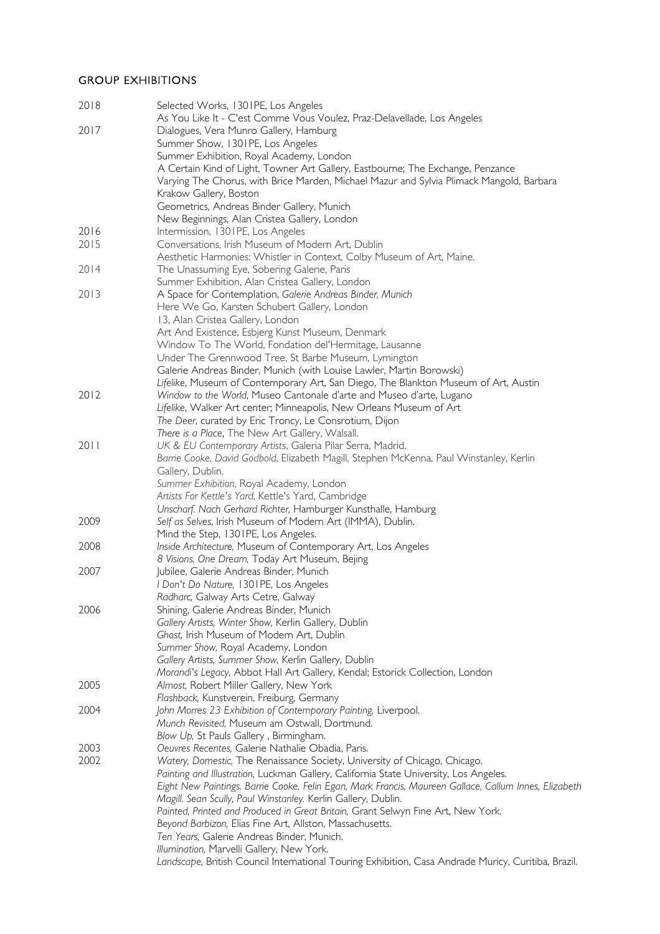## GROUP EXHIBITIONS

| 2018 | Selected Works, 1301PE, Los Angeles                                                                                  |
|------|----------------------------------------------------------------------------------------------------------------------|
|      | As You Like It - C'est Comme Vous Voulez, Praz-Delavellade, Los Angeles                                              |
| 2017 | Dialogues, Vera Munro Gallery, Hamburg                                                                               |
|      | Summer Show, 1301PE, Los Angeles                                                                                     |
|      | Summer Exhibition, Royal Academy, London                                                                             |
|      | A Certain Kind of Light, Towner Art Gallery, Eastbourne; The Exchange, Penzance                                      |
|      | Varying The Chorus, with Brice Marden, Michael Mazur and Sylvia Plimack Mangold, Barbara                             |
|      | Krakow Gallery, Boston                                                                                               |
|      | Geometrics, Andreas Binder Gallery, Munich                                                                           |
|      | New Beginnings, Alan Cristea Gallery, London                                                                         |
| 2016 | Intermission, 1301PE, Los Angeles                                                                                    |
| 2015 | Conversations, Irish Museum of Modern Art, Dublin                                                                    |
|      | Aesthetic Harmonies: Whistler in Context, Colby Museum of Art, Maine.                                                |
| 2014 | The Unassuming Eye, Sobering Galerie, Paris                                                                          |
|      | Summer Exhibition, Alan Cristea Gallery, London                                                                      |
| 2013 | A Space for Contemplation, Galerie Andreas Binder, Munich                                                            |
|      | Here We Go, Karsten Schubert Gallery, London                                                                         |
|      | 13, Alan Cristea Gallery, London                                                                                     |
|      | Art And Existence, Esbjerg Kunst Museum, Denmark                                                                     |
|      | Window To The World, Fondation del'Hermitage, Lausanne                                                               |
|      | Under The Grennwood Tree, St Barbe Museum, Lymington                                                                 |
|      | Galerie Andreas Binder, Munich (with Louise Lawler, Martin Borowski)                                                 |
|      | Lifelike, Museum of Contemporary Art, San Diego, The Blankton Museum of Art, Austin                                  |
| 2012 | Window to the World, Museo Cantonale d'arte and Museo d'arte, Lugano                                                 |
|      | Lifelike, Walker Art center; Minneapolis, New Orleans Museum of Art                                                  |
|      | The Deer, curated by Eric Troncy, Le Consrotium, Dijon                                                               |
|      | There is a Place, The New Art Gallery, Walsall.                                                                      |
| 2011 | UK & EU Contemporary Artists, Galeria Pilar Serra, Madrid.                                                           |
|      | Barrie Cooke, David Godbold, Elizabeth Magill, Stephen McKenna, Paul Winstanley, Kerlin                              |
|      | Gallery, Dublin.                                                                                                     |
|      | Summer Exhibition, Royal Academy, London                                                                             |
|      | Artists For Kettle's Yard, Kettle's Yard, Cambridge<br>Unscharf. Nach Gerhard Richter, Hamburger Kunsthalle, Hamburg |
| 2009 | Self as Selves, Irish Museum of Modern Art (IMMA), Dublin.                                                           |
|      | Mind the Step, 1301PE, Los Angeles.                                                                                  |
| 2008 | Inside Architecture, Museum of Contemporary Art, Los Angeles                                                         |
|      | 8 Visions, One Dream, Today Art Museum, Bejing                                                                       |
| 2007 | Jubilee, Galerie Andreas Binder, Munich                                                                              |
|      | I Don't Do Nature, 1301PE, Los Angeles                                                                               |
|      | Radharc, Galway Arts Cetre, Galway                                                                                   |
| 2006 | Shining, Galerie Andreas Binder, Munich                                                                              |
|      | Gallery Artists, Winter Show, Kerlin Gallery, Dublin                                                                 |
|      | Ghost, Irish Museum of Modern Art, Dublin                                                                            |
|      | Summer Show, Royal Academy, London                                                                                   |
|      | Gallery Artists, Summer Show, Kerlin Gallery, Dublin                                                                 |
|      | Morandi's Legacy, Abbot Hall Art Gallery, Kendal; Estorick Collection, London                                        |
| 2005 | Almost, Robert Miller Gallery, New York                                                                              |
|      | Flashback, Kunstverein, Freiburg, Germany                                                                            |
| 2004 | John Morres 23 Exhibition of Contemporary Painting, Liverpool.                                                       |
|      | Munch Revisited, Museum am Ostwall, Dortmund.                                                                        |
|      | Blow Up, St Pauls Gallery, Birmingham.                                                                               |
| 2003 | Oeuvres Recentes, Galerie Nathalie Obadia, Paris.                                                                    |
| 2002 | Watery, Domestic, The Renaissance Society, University of Chicago, Chicago.                                           |
|      | Painting and Illustration, Luckman Gallery, California State University, Los Angeles.                                |
|      | Eight New Paintings. Barrie Cooke, Felin Egan, Mark Francis, Maureen Gallace, Callum Innes, Elizabeth                |
|      | Magill. Sean Scully, Paul Winstanley. Kerlin Gallery, Dublin.                                                        |
|      | Painted, Printed and Produced in Great Britain, Grant Selwyn Fine Art, New York.                                     |
|      | Beyond Barbizon, Elias Fine Art, Allston, Massachusetts.                                                             |
|      | Ten Years, Galerie Andreas Binder, Munich.                                                                           |
|      | Illumination, Marvelli Gallery, New York.                                                                            |
|      | Landscape, British Council International Touring Exhibition, Casa Andrade Muricy, Curitiba, Brazil.                  |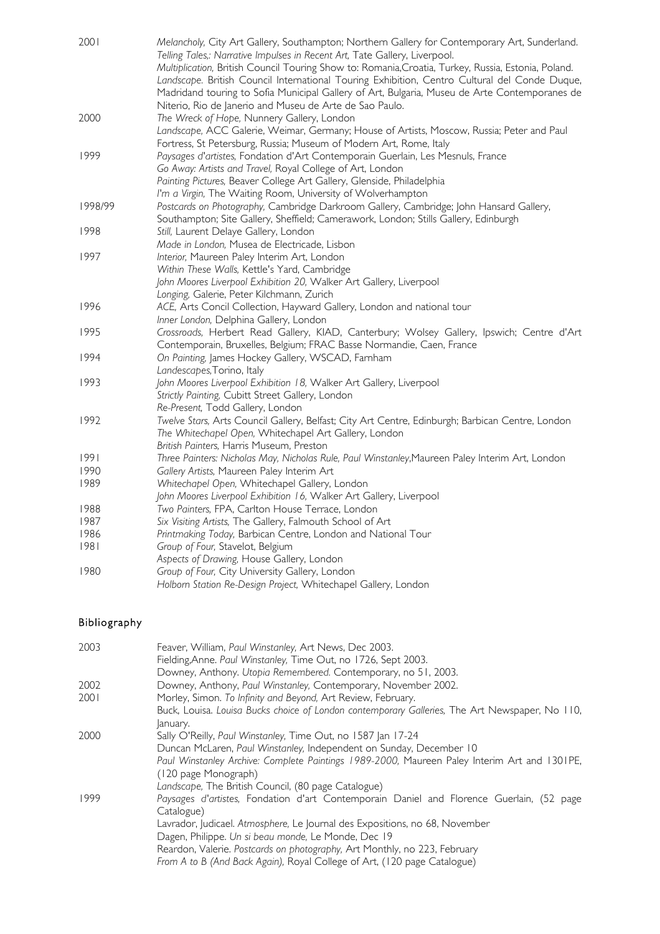| 2001    | Melancholy, City Art Gallery, Southampton; Northern Gallery for Contemporary Art, Sunderland.<br>Telling Tales,: Narrative Impulses in Recent Art, Tate Gallery, Liverpool. |
|---------|-----------------------------------------------------------------------------------------------------------------------------------------------------------------------------|
|         | Multiplication, British Council Touring Show to: Romania, Croatia, Turkey, Russia, Estonia, Poland.                                                                         |
|         | Landscape. British Council International Touring Exhibition, Centro Cultural del Conde Duque,                                                                               |
|         | Madridand touring to Sofia Municipal Gallery of Art, Bulgaria, Museu de Arte Contemporanes de                                                                               |
|         | Niterio, Rio de Janerio and Museu de Arte de Sao Paulo.                                                                                                                     |
| 2000    | The Wreck of Hope, Nunnery Gallery, London                                                                                                                                  |
|         | Landscape, ACC Galerie, Weimar, Germany; House of Artists, Moscow, Russia; Peter and Paul                                                                                   |
|         | Fortress, St Petersburg, Russia; Museum of Modern Art, Rome, Italy                                                                                                          |
| 1999    | Paysages d'artistes, Fondation d'Art Contemporain Guerlain, Les Mesnuls, France                                                                                             |
|         | Go Away: Artists and Travel, Royal College of Art, London                                                                                                                   |
|         | Painting Pictures, Beaver College Art Gallery, Glenside, Philadelphia                                                                                                       |
|         | I'm a Virgin, The Waiting Room, University of Wolverhampton                                                                                                                 |
| 1998/99 | Postcards on Photography, Cambridge Darkroom Gallery, Cambridge; John Hansard Gallery,                                                                                      |
|         | Southampton; Site Gallery, Sheffield; Camerawork, London; Stills Gallery, Edinburgh                                                                                         |
| 1998    | Still, Laurent Delaye Gallery, London                                                                                                                                       |
|         | Made in London, Musea de Electricade, Lisbon                                                                                                                                |
| 1997    | Interior, Maureen Paley Interim Art, London                                                                                                                                 |
|         | Within These Walls, Kettle's Yard, Cambridge                                                                                                                                |
|         | John Moores Liverpool Exhibition 20, Walker Art Gallery, Liverpool                                                                                                          |
|         | Longing, Galerie, Peter Kilchmann, Zurich                                                                                                                                   |
| 1996    | ACE, Arts Concil Collection, Hayward Gallery, London and national tour                                                                                                      |
|         | Inner London, Delphina Gallery, London                                                                                                                                      |
| 1995    | Crossroads, Herbert Read Gallery, KIAD, Canterbury; Wolsey Gallery, Ipswich; Centre d'Art                                                                                   |
|         | Contemporain, Bruxelles, Belgium; FRAC Basse Normandie, Caen, France                                                                                                        |
| 1994    | On Painting, James Hockey Gallery, WSCAD, Farnham                                                                                                                           |
|         | Landescapes, Torino, Italy                                                                                                                                                  |
| 1993    | John Moores Liverpool Exhibition 18, Walker Art Gallery, Liverpool                                                                                                          |
|         | Strictly Painting, Cubitt Street Gallery, London                                                                                                                            |
|         | Re-Present, Todd Gallery, London                                                                                                                                            |
| 1992    | Twelve Stars, Arts Council Gallery, Belfast; City Art Centre, Edinburgh; Barbican Centre, London                                                                            |
|         | The Whitechapel Open, Whitechapel Art Gallery, London                                                                                                                       |
|         | British Painters, Harris Museum, Preston                                                                                                                                    |
| 1991    | Three Painters: Nicholas May, Nicholas Rule, Paul Winstanley, Maureen Paley Interim Art, London                                                                             |
| 1990    | Gallery Artists, Maureen Paley Interim Art                                                                                                                                  |
| 1989    | Whitechapel Open, Whitechapel Gallery, London                                                                                                                               |
|         | John Moores Liverpool Exhibition 16, Walker Art Gallery, Liverpool                                                                                                          |
| 1988    | Two Painters, FPA, Carlton House Terrace, London                                                                                                                            |
| 1987    | Six Visiting Artists, The Gallery, Falmouth School of Art                                                                                                                   |
| 1986    | Printmaking Today, Barbican Centre, London and National Tour                                                                                                                |
| 1981    | Group of Four, Stavelot, Belgium                                                                                                                                            |
|         | Aspects of Drawing, House Gallery, London                                                                                                                                   |
| 1980    | Group of Four, City University Gallery, London                                                                                                                              |
|         | Holborn Station Re-Design Project, Whitechapel Gallery, London                                                                                                              |

# Bibliography

| 2003 | Feaver, William, Paul Winstanley, Art News, Dec 2003.                                          |
|------|------------------------------------------------------------------------------------------------|
|      | Fielding, Anne. Paul Winstanley, Time Out, no 1726, Sept 2003.                                 |
|      | Downey, Anthony. Utopia Remembered. Contemporary, no 51, 2003.                                 |
| 2002 | Downey, Anthony, Paul Winstanley, Contemporary, November 2002.                                 |
| 2001 | Morley, Simon. To Infinity and Beyond, Art Review, February.                                   |
|      | Buck, Louisa. Louisa Bucks choice of London contemporary Galleries, The Art Newspaper, No 110, |
|      | January.                                                                                       |
| 2000 | Sally O'Reilly, Paul Winstanley, Time Out, no 1587 Jan 17-24                                   |
|      | Duncan McLaren, Paul Winstanley, Independent on Sunday, December 10                            |
|      | Paul Winstanley Archive: Complete Paintings 1989-2000, Maureen Paley Interim Art and 1301PE,   |
|      | (120 page Monograph)                                                                           |
|      | Landscape, The British Council, (80 page Catalogue)                                            |
| 1999 | Paysages d'artistes, Fondation d'art Contemporain Daniel and Florence Guerlain, (52 page       |
|      | Catalogue)                                                                                     |
|      | Lavrador, Judicael. Atmosphere, Le Journal des Expositions, no 68, November                    |
|      | Dagen, Philippe. Un si beau monde, Le Monde, Dec 19                                            |
|      | Reardon, Valerie. Postcards on photography, Art Monthly, no 223, February                      |
|      | From A to B (And Back Again), Royal College of Art, (120 page Catalogue)                       |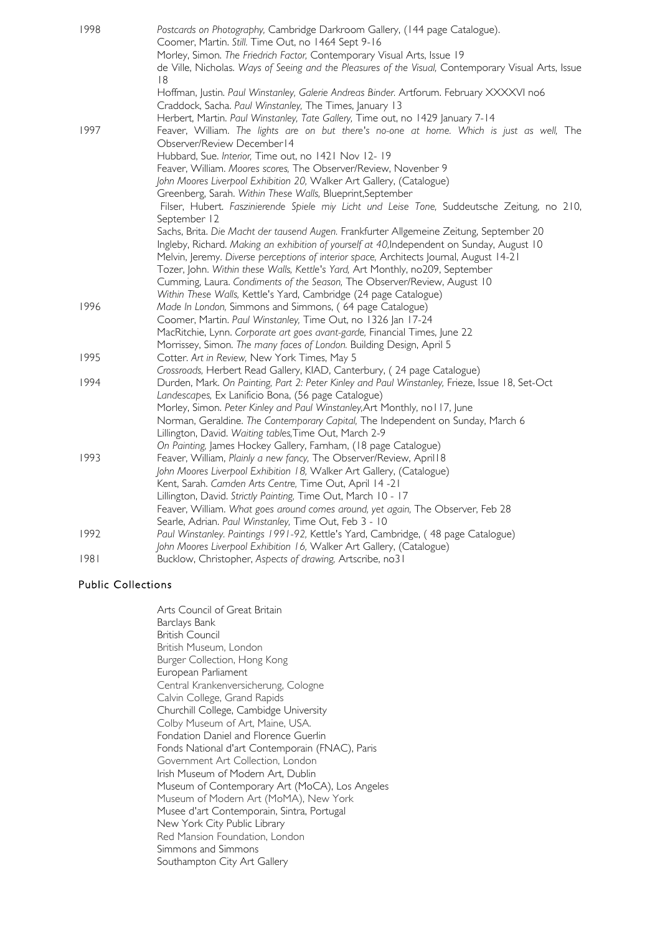| 1998 | Postcards on Photography, Cambridge Darkroom Gallery, (144 page Catalogue).<br>Coomer, Martin. Still. Time Out, no 1464 Sept 9-16                                                                                                                                                                                                                                                                                                                                                                                                                                                                           |
|------|-------------------------------------------------------------------------------------------------------------------------------------------------------------------------------------------------------------------------------------------------------------------------------------------------------------------------------------------------------------------------------------------------------------------------------------------------------------------------------------------------------------------------------------------------------------------------------------------------------------|
|      | Morley, Simon. The Friedrich Factor, Contemporary Visual Arts, Issue 19                                                                                                                                                                                                                                                                                                                                                                                                                                                                                                                                     |
|      | de Ville, Nicholas. Ways of Seeing and the Pleasures of the Visual, Contemporary Visual Arts, Issue                                                                                                                                                                                                                                                                                                                                                                                                                                                                                                         |
|      | 18                                                                                                                                                                                                                                                                                                                                                                                                                                                                                                                                                                                                          |
|      | Hoffman, Justin. Paul Winstanley, Galerie Andreas Binder. Artforum. February XXXXVI no6                                                                                                                                                                                                                                                                                                                                                                                                                                                                                                                     |
|      | Craddock, Sacha. Paul Winstanley, The Times, January 13                                                                                                                                                                                                                                                                                                                                                                                                                                                                                                                                                     |
|      | Herbert, Martin. Paul Winstanley, Tate Gallery, Time out, no 1429 January 7-14                                                                                                                                                                                                                                                                                                                                                                                                                                                                                                                              |
| 1997 | Feaver, William. The lights are on but there's no-one at home. Which is just as well, The                                                                                                                                                                                                                                                                                                                                                                                                                                                                                                                   |
|      | Observer/Review December14                                                                                                                                                                                                                                                                                                                                                                                                                                                                                                                                                                                  |
|      | Hubbard, Sue. Interior, Time out, no 1421 Nov 12-19                                                                                                                                                                                                                                                                                                                                                                                                                                                                                                                                                         |
|      |                                                                                                                                                                                                                                                                                                                                                                                                                                                                                                                                                                                                             |
|      | Feaver, William. Moores scores, The Observer/Review, Novenber 9                                                                                                                                                                                                                                                                                                                                                                                                                                                                                                                                             |
|      | John Moores Liverpool Exhibition 20, Walker Art Gallery, (Catalogue)                                                                                                                                                                                                                                                                                                                                                                                                                                                                                                                                        |
|      | Greenberg, Sarah. Within These Walls, Blueprint, September                                                                                                                                                                                                                                                                                                                                                                                                                                                                                                                                                  |
|      | Filser, Hubert. Faszinierende Spiele miy Licht und Leise Tone, Suddeutsche Zeitung, no 210,                                                                                                                                                                                                                                                                                                                                                                                                                                                                                                                 |
|      | September 12                                                                                                                                                                                                                                                                                                                                                                                                                                                                                                                                                                                                |
|      | Sachs, Brita. Die Macht der tausend Augen. Frankfurter Allgemeine Zeitung, September 20                                                                                                                                                                                                                                                                                                                                                                                                                                                                                                                     |
|      | Ingleby, Richard. Making an exhibition of yourself at 40, Independent on Sunday, August 10                                                                                                                                                                                                                                                                                                                                                                                                                                                                                                                  |
|      | Melvin, Jeremy. Diverse perceptions of interior space, Architects Journal, August 14-21                                                                                                                                                                                                                                                                                                                                                                                                                                                                                                                     |
|      | Tozer, John. Within these Walls, Kettle's Yard, Art Monthly, no209, September                                                                                                                                                                                                                                                                                                                                                                                                                                                                                                                               |
|      | Cumming, Laura. Condiments of the Season, The Observer/Review, August 10                                                                                                                                                                                                                                                                                                                                                                                                                                                                                                                                    |
|      | Within These Walls, Kettle's Yard, Cambridge (24 page Catalogue)                                                                                                                                                                                                                                                                                                                                                                                                                                                                                                                                            |
| 1996 | Made In London, Simmons and Simmons, (64 page Catalogue)                                                                                                                                                                                                                                                                                                                                                                                                                                                                                                                                                    |
|      | Coomer, Martin. Paul Winstanley, Time Out, no 1326 Jan 17-24                                                                                                                                                                                                                                                                                                                                                                                                                                                                                                                                                |
|      | MacRitchie, Lynn. Corporate art goes avant-garde, Financial Times, June 22                                                                                                                                                                                                                                                                                                                                                                                                                                                                                                                                  |
|      | Morrissey, Simon. The many faces of London. Building Design, April 5                                                                                                                                                                                                                                                                                                                                                                                                                                                                                                                                        |
| 1995 | Cotter. Art in Review, New York Times, May 5                                                                                                                                                                                                                                                                                                                                                                                                                                                                                                                                                                |
|      | Crossroads, Herbert Read Gallery, KIAD, Canterbury, (24 page Catalogue)                                                                                                                                                                                                                                                                                                                                                                                                                                                                                                                                     |
| 1994 |                                                                                                                                                                                                                                                                                                                                                                                                                                                                                                                                                                                                             |
|      | Landescapes, Ex Lanificio Bona, (56 page Catalogue)                                                                                                                                                                                                                                                                                                                                                                                                                                                                                                                                                         |
|      | Morley, Simon. Peter Kinley and Paul Winstanley, Art Monthly, no I I7, June                                                                                                                                                                                                                                                                                                                                                                                                                                                                                                                                 |
|      | Norman, Geraldine. The Contemporary Capital, The Independent on Sunday, March 6                                                                                                                                                                                                                                                                                                                                                                                                                                                                                                                             |
|      | Lillington, David. Waiting tables, Time Out, March 2-9                                                                                                                                                                                                                                                                                                                                                                                                                                                                                                                                                      |
|      | On Painting, James Hockey Gallery, Farnham, (18 page Catalogue)                                                                                                                                                                                                                                                                                                                                                                                                                                                                                                                                             |
| 1993 | Feaver, William, Plainly a new fancy, The Observer/Review, April18                                                                                                                                                                                                                                                                                                                                                                                                                                                                                                                                          |
|      |                                                                                                                                                                                                                                                                                                                                                                                                                                                                                                                                                                                                             |
|      |                                                                                                                                                                                                                                                                                                                                                                                                                                                                                                                                                                                                             |
|      |                                                                                                                                                                                                                                                                                                                                                                                                                                                                                                                                                                                                             |
|      |                                                                                                                                                                                                                                                                                                                                                                                                                                                                                                                                                                                                             |
|      |                                                                                                                                                                                                                                                                                                                                                                                                                                                                                                                                                                                                             |
| 1992 |                                                                                                                                                                                                                                                                                                                                                                                                                                                                                                                                                                                                             |
|      |                                                                                                                                                                                                                                                                                                                                                                                                                                                                                                                                                                                                             |
| 1981 | Bucklow, Christopher, Aspects of drawing, Artscribe, no31                                                                                                                                                                                                                                                                                                                                                                                                                                                                                                                                                   |
|      | Durden, Mark. On Painting, Part 2: Peter Kinley and Paul Winstanley, Frieze, Issue 18, Set-Oct<br>John Moores Liverpool Exhibition 18, Walker Art Gallery, (Catalogue)<br>Kent, Sarah. Camden Arts Centre, Time Out, April 14 -21<br>Lillington, David. Strictly Painting, Time Out, March 10 - 17<br>Feaver, William. What goes around comes around, yet again, The Observer, Feb 28<br>Searle, Adrian. Paul Winstanley, Time Out, Feb 3 - 10<br>Paul Winstanley. Paintings 1991-92, Kettle's Yard, Cambridge, (48 page Catalogue)<br>John Moores Liverpool Exhibition 16, Walker Art Gallery, (Catalogue) |

# Public Collections

Arts Council of Great Britain Barclays Bank British Council British Museum, London Burger Collection, Hong Kong European Parliament Central Krankenversicherung, Cologne Calvin College, Grand Rapids Churchill College, Cambidge University Colby Museum of Art, Maine, USA. Fondation Daniel and Florence Guerlin Fonds National d'art Contemporain (FNAC), Paris Government Art Collection, London Irish Museum of Modern Art, Dublin Museum of Contemporary Art (MoCA), Los Angeles Museum of Modern Art (MoMA), New York Musee d'art Contemporain, Sintra, Portugal New York City Public Library Red Mansion Foundation, London Simmons and Simmons Southampton City Art Gallery